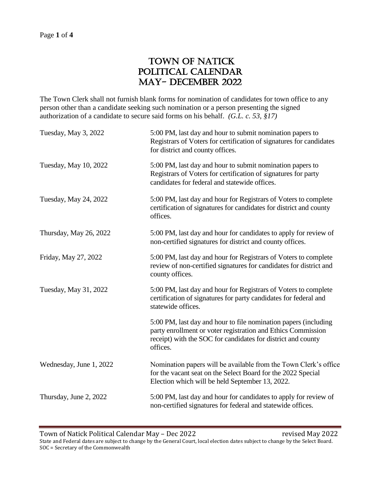## TOWN OF NATICK POLITICAL CALENDAR May- December 2022

The Town Clerk shall not furnish blank forms for nomination of candidates for town office to any person other than a candidate seeking such nomination or a person presenting the signed authorization of a candidate to secure said forms on his behalf. *(G.L. c. 53, §17)*

| Tuesday, May 3, 2022    | 5:00 PM, last day and hour to submit nomination papers to<br>Registrars of Voters for certification of signatures for candidates<br>for district and county offices.                                        |
|-------------------------|-------------------------------------------------------------------------------------------------------------------------------------------------------------------------------------------------------------|
| Tuesday, May 10, 2022   | 5:00 PM, last day and hour to submit nomination papers to<br>Registrars of Voters for certification of signatures for party<br>candidates for federal and statewide offices.                                |
| Tuesday, May 24, 2022   | 5:00 PM, last day and hour for Registrars of Voters to complete<br>certification of signatures for candidates for district and county<br>offices.                                                           |
| Thursday, May 26, 2022  | 5:00 PM, last day and hour for candidates to apply for review of<br>non-certified signatures for district and county offices.                                                                               |
| Friday, May 27, 2022    | 5:00 PM, last day and hour for Registrars of Voters to complete<br>review of non-certified signatures for candidates for district and<br>county offices.                                                    |
| Tuesday, May 31, 2022   | 5:00 PM, last day and hour for Registrars of Voters to complete<br>certification of signatures for party candidates for federal and<br>statewide offices.                                                   |
|                         | 5:00 PM, last day and hour to file nomination papers (including<br>party enrollment or voter registration and Ethics Commission<br>receipt) with the SOC for candidates for district and county<br>offices. |
| Wednesday, June 1, 2022 | Nomination papers will be available from the Town Clerk's office<br>for the vacant seat on the Select Board for the 2022 Special<br>Election which will be held September 13, 2022.                         |
| Thursday, June 2, 2022  | 5:00 PM, last day and hour for candidates to apply for review of<br>non-certified signatures for federal and statewide offices.                                                                             |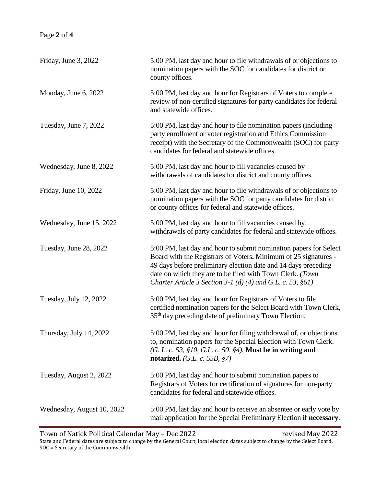## Page **2** of **4**

| Friday, June 3, 2022       | 5:00 PM, last day and hour to file withdrawals of or objections to<br>nomination papers with the SOC for candidates for district or<br>county offices.                                                                                                                                                                                |
|----------------------------|---------------------------------------------------------------------------------------------------------------------------------------------------------------------------------------------------------------------------------------------------------------------------------------------------------------------------------------|
| Monday, June 6, 2022       | 5:00 PM, last day and hour for Registrars of Voters to complete<br>review of non-certified signatures for party candidates for federal<br>and statewide offices.                                                                                                                                                                      |
| Tuesday, June 7, 2022      | 5:00 PM, last day and hour to file nomination papers (including<br>party enrollment or voter registration and Ethics Commission<br>receipt) with the Secretary of the Commonwealth (SOC) for party<br>candidates for federal and statewide offices.                                                                                   |
| Wednesday, June 8, 2022    | 5:00 PM, last day and hour to fill vacancies caused by<br>withdrawals of candidates for district and county offices.                                                                                                                                                                                                                  |
| Friday, June 10, 2022      | 5:00 PM, last day and hour to file withdrawals of or objections to<br>nomination papers with the SOC for party candidates for district<br>or county offices for federal and statewide offices.                                                                                                                                        |
| Wednesday, June 15, 2022   | 5:00 PM, last day and hour to fill vacancies caused by<br>withdrawals of party candidates for federal and statewide offices.                                                                                                                                                                                                          |
| Tuesday, June 28, 2022     | 5:00 PM, last day and hour to submit nomination papers for Select<br>Board with the Registrars of Voters. Minimum of 25 signatures -<br>49 days before preliminary election date and 14 days preceding<br>date on which they are to be filed with Town Clerk. (Town<br>Charter Article 3 Section 3-1 (d) (4) and G.L. c. 53, $\S61$ ) |
| Tuesday, July 12, 2022     | 5:00 PM, last day and hour for Registrars of Voters to file<br>certified nomination papers for the Select Board with Town Clerk,<br>35 <sup>th</sup> day preceding date of preliminary Town Election.                                                                                                                                 |
| Thursday, July 14, 2022    | 5:00 PM, last day and hour for filing withdrawal of, or objections<br>to, nomination papers for the Special Election with Town Clerk.<br>$(G. L. c. 53, §10, G.L. c. 50, §4).$ Must be in writing and<br>notarized. $(G.L. c. 55B, §7)$                                                                                               |
| Tuesday, August 2, 2022    | 5:00 PM, last day and hour to submit nomination papers to<br>Registrars of Voters for certification of signatures for non-party<br>candidates for federal and statewide offices.                                                                                                                                                      |
| Wednesday, August 10, 2022 | 5:00 PM, last day and hour to receive an absentee or early vote by<br>mail application for the Special Preliminary Election if necessary.                                                                                                                                                                                             |

Town of Natick Political Calendar May – Dec 2022 **revised May 2022** State and Federal dates are subject to change by the General Court, local election dates subject to change by the Select Board. SOC = Secretary of the Commonwealth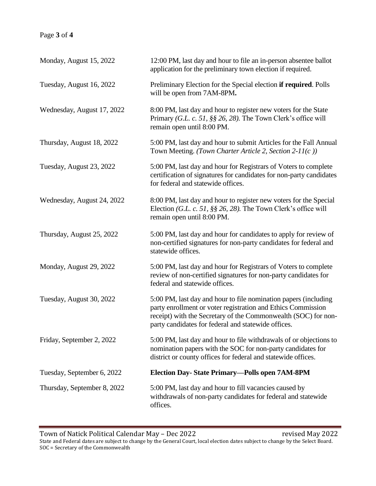## Page **3** of **4**

| Monday, August 15, 2022     | 12:00 PM, last day and hour to file an in-person absentee ballot<br>application for the preliminary town election if required.                                                                                                                           |
|-----------------------------|----------------------------------------------------------------------------------------------------------------------------------------------------------------------------------------------------------------------------------------------------------|
| Tuesday, August 16, 2022    | Preliminary Election for the Special election <b>if required</b> . Polls<br>will be open from 7AM-8PM.                                                                                                                                                   |
| Wednesday, August 17, 2022  | 8:00 PM, last day and hour to register new voters for the State<br>Primary (G.L. c. 51, §§ 26, 28). The Town Clerk's office will<br>remain open until 8:00 PM.                                                                                           |
| Thursday, August 18, 2022   | 5:00 PM, last day and hour to submit Articles for the Fall Annual<br>Town Meeting. (Town Charter Article 2, Section 2-11(c))                                                                                                                             |
| Tuesday, August 23, 2022    | 5:00 PM, last day and hour for Registrars of Voters to complete<br>certification of signatures for candidates for non-party candidates<br>for federal and statewide offices.                                                                             |
| Wednesday, August 24, 2022  | 8:00 PM, last day and hour to register new voters for the Special<br>Election (G.L. c. 51, §§ 26, 28). The Town Clerk's office will<br>remain open until 8:00 PM.                                                                                        |
| Thursday, August 25, 2022   | 5:00 PM, last day and hour for candidates to apply for review of<br>non-certified signatures for non-party candidates for federal and<br>statewide offices.                                                                                              |
| Monday, August 29, 2022     | 5:00 PM, last day and hour for Registrars of Voters to complete<br>review of non-certified signatures for non-party candidates for<br>federal and statewide offices.                                                                                     |
| Tuesday, August 30, 2022    | 5:00 PM, last day and hour to file nomination papers (including<br>party enrollment or voter registration and Ethics Commission<br>receipt) with the Secretary of the Commonwealth (SOC) for non-<br>party candidates for federal and statewide offices. |
| Friday, September 2, 2022   | 5:00 PM, last day and hour to file withdrawals of or objections to<br>nomination papers with the SOC for non-party candidates for<br>district or county offices for federal and statewide offices.                                                       |
| Tuesday, September 6, 2022  | Election Day-State Primary-Polls open 7AM-8PM                                                                                                                                                                                                            |
| Thursday, September 8, 2022 | 5:00 PM, last day and hour to fill vacancies caused by<br>withdrawals of non-party candidates for federal and statewide<br>offices.                                                                                                                      |